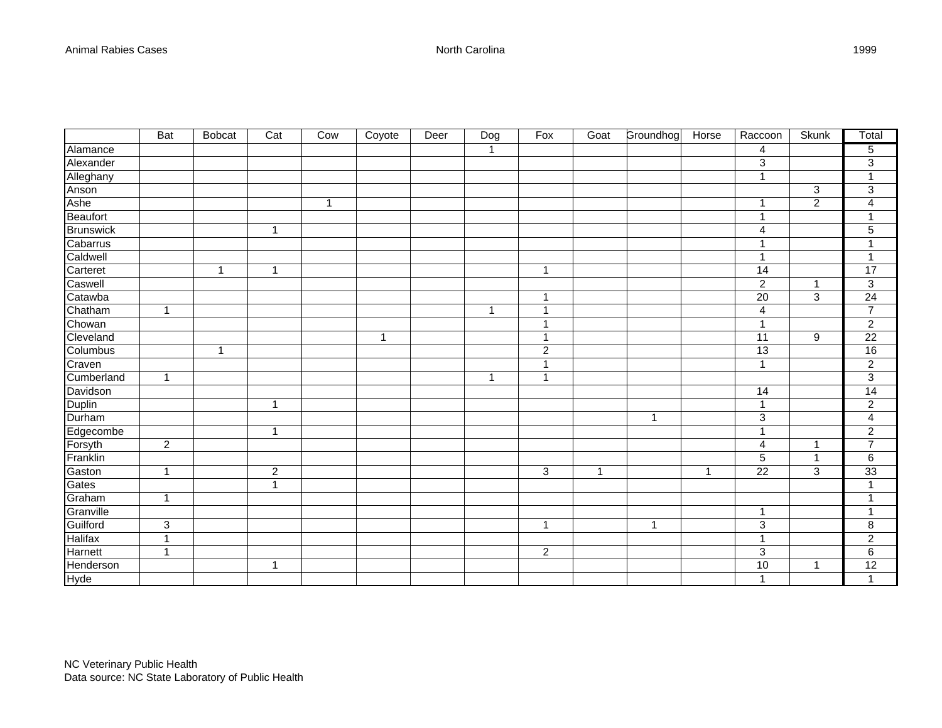|                | <b>Bat</b>                | <b>Bobcat</b> | Cat            | Cow            | Coyote       | Deer | Dog          | Fox              | Goat           | Groundhog    | Horse        | Raccoon                   | <b>Skunk</b>     | Total                   |
|----------------|---------------------------|---------------|----------------|----------------|--------------|------|--------------|------------------|----------------|--------------|--------------|---------------------------|------------------|-------------------------|
| Alamance       |                           |               |                |                |              |      | $\mathbf{1}$ |                  |                |              |              | $\overline{\mathbf{4}}$   |                  | 5                       |
| Alexander      |                           |               |                |                |              |      |              |                  |                |              |              | $\sqrt{3}$                |                  | $\overline{3}$          |
| Alleghany      |                           |               |                |                |              |      |              |                  |                |              |              | $\mathbf{1}$              |                  | $\mathbf{1}$            |
| Anson          |                           |               |                |                |              |      |              |                  |                |              |              |                           | $\mathbf{3}$     | $\sqrt{3}$              |
| Ashe           |                           |               |                | $\overline{1}$ |              |      |              |                  |                |              |              | 1                         | $\overline{2}$   | $\overline{\mathbf{4}}$ |
| Beaufort       |                           |               |                |                |              |      |              |                  |                |              |              | $\mathbf 1$               |                  | $\mathbf 1$             |
| Brunswick      |                           |               | $\mathbf{1}$   |                |              |      |              |                  |                |              |              | 4                         |                  | $\mathbf 5$             |
| Cabarrus       |                           |               |                |                |              |      |              |                  |                |              |              | 1                         |                  | 1                       |
| Caldwell       |                           |               |                |                |              |      |              |                  |                |              |              | 1                         |                  | 1                       |
| Carteret       |                           | $\mathbf{1}$  | $\mathbf{1}$   |                |              |      |              | $\mathbf{1}$     |                |              |              | 14                        |                  | 17                      |
| Caswell        |                           |               |                |                |              |      |              |                  |                |              |              | $\overline{c}$            | $\mathbf{1}$     | $\overline{3}$          |
| Catawba        |                           |               |                |                |              |      |              | 1                |                |              |              | $\overline{20}$           | 3                | 24                      |
| Chatham        | $\mathbf{1}$              |               |                |                |              |      | $\mathbf{1}$ | $\mathbf{1}$     |                |              |              | $\overline{\mathbf{4}}$   |                  | $\overline{7}$          |
| Chowan         |                           |               |                |                |              |      |              | $\overline{1}$   |                |              |              | $\mathbf{1}$              |                  | $\overline{c}$          |
| Cleveland      |                           |               |                |                | $\mathbf{1}$ |      |              | $\mathbf{1}$     |                |              |              | $\overline{11}$           | $\boldsymbol{9}$ | $\overline{22}$         |
| Columbus       |                           | 1             |                |                |              |      |              | $\boldsymbol{2}$ |                |              |              | 13                        |                  | 16                      |
| Craven         |                           |               |                |                |              |      |              | $\mathbf{1}$     |                |              |              | $\mathbf{1}$              |                  | $\overline{2}$          |
| Cumberland     | $\mathbf{1}$              |               |                |                |              |      | $\mathbf{1}$ | $\mathbf{1}$     |                |              |              |                           |                  | $\mathsf 3$             |
| Davidson       |                           |               |                |                |              |      |              |                  |                |              |              | 14                        |                  | 14                      |
| Duplin         |                           |               | $\mathbf{1}$   |                |              |      |              |                  |                |              |              | $\mathbf{1}$              |                  | $\sqrt{2}$              |
| Durham         |                           |               |                |                |              |      |              |                  |                | $\mathbf{1}$ |              | $\ensuremath{\mathsf{3}}$ |                  | $\overline{4}$          |
| Edgecombe      |                           |               | $\mathbf 1$    |                |              |      |              |                  |                |              |              | $\mathbf{1}$              |                  | $\boldsymbol{2}$        |
| Forsyth        | $\overline{2}$            |               |                |                |              |      |              |                  |                |              |              | $\overline{\mathbf{4}}$   | $\mathbf 1$      | $\overline{7}$          |
| Franklin       |                           |               |                |                |              |      |              |                  |                |              |              | $\overline{5}$            | $\mathbf{1}$     | $\,6\,$                 |
| Gaston         | $\mathbf{1}$              |               | $\overline{2}$ |                |              |      |              | $\overline{3}$   | $\overline{1}$ |              | $\mathbf{1}$ | $\overline{22}$           | 3                | 33                      |
| Gates          |                           |               | $\mathbf{1}$   |                |              |      |              |                  |                |              |              |                           |                  | $\mathbf 1$             |
| Graham         | $\mathbf{1}$              |               |                |                |              |      |              |                  |                |              |              |                           |                  | $\mathbf{1}$            |
| Granville      |                           |               |                |                |              |      |              |                  |                |              |              | $\mathbf{1}$              |                  | $\mathbf{1}$            |
| Guilford       | $\ensuremath{\mathsf{3}}$ |               |                |                |              |      |              | $\overline{1}$   |                | $\mathbf{1}$ |              | $\ensuremath{\mathsf{3}}$ |                  | $\,8\,$                 |
| <b>Halifax</b> | $\mathbf{1}$              |               |                |                |              |      |              |                  |                |              |              | $\mathbf{1}$              |                  | $\sqrt{2}$              |
| Harnett        | $\mathbf{1}$              |               |                |                |              |      |              | $\overline{c}$   |                |              |              | $\ensuremath{\mathsf{3}}$ |                  | $\,6\,$                 |
| Henderson      |                           |               | $\mathbf{1}$   |                |              |      |              |                  |                |              |              | 10                        | $\mathbf{1}$     | 12                      |
| <b>Hyde</b>    |                           |               |                |                |              |      |              |                  |                |              |              | $\mathbf{1}$              |                  | $\mathbf{1}$            |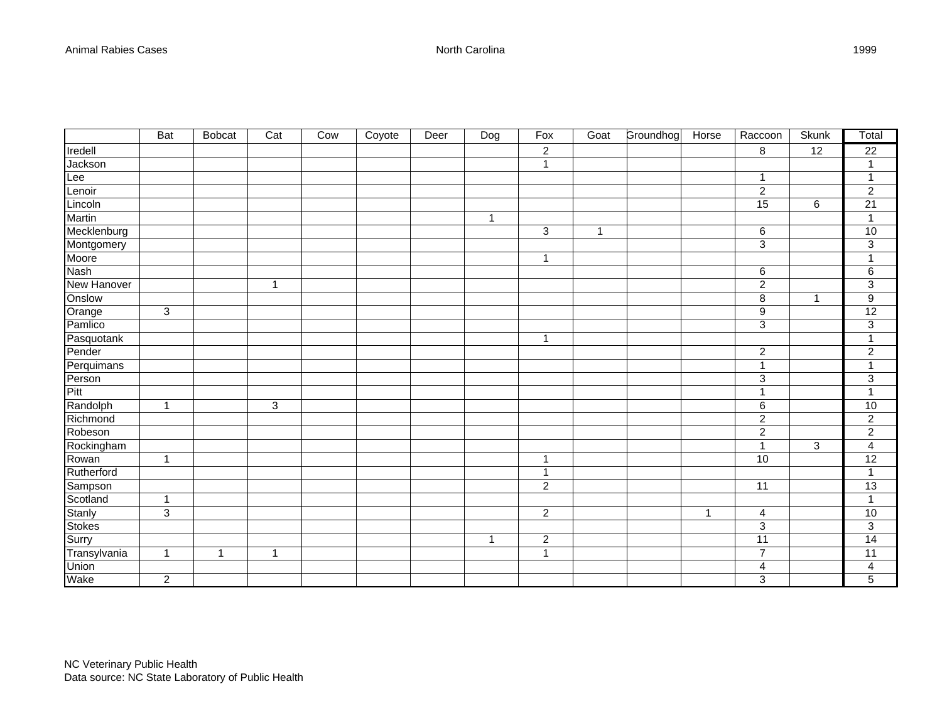|                   | <b>Bat</b>     | <b>Bobcat</b> | Cat            | Cow | Coyote | Deer | Dog          | Fox              | Goat           | Groundhog | Horse        | Raccoon                   | <b>Skunk</b> | Total                     |
|-------------------|----------------|---------------|----------------|-----|--------|------|--------------|------------------|----------------|-----------|--------------|---------------------------|--------------|---------------------------|
| Iredell           |                |               |                |     |        |      |              | $\boldsymbol{2}$ |                |           |              | 8                         | 12           | 22                        |
| Jackson           |                |               |                |     |        |      |              | $\mathbf{1}$     |                |           |              |                           |              | $\mathbf{1}$              |
| Lee               |                |               |                |     |        |      |              |                  |                |           |              | $\mathbf{1}$              |              | $\mathbf{1}$              |
| Lenoir            |                |               |                |     |        |      |              |                  |                |           |              | $\overline{c}$            |              | $\overline{c}$            |
| Lincoln           |                |               |                |     |        |      |              |                  |                |           |              | 15                        | 6            | 21                        |
| Martin            |                |               |                |     |        |      | $\mathbf{1}$ |                  |                |           |              |                           |              | $\mathbf{1}$              |
| Mecklenburg       |                |               |                |     |        |      |              | 3                | $\overline{1}$ |           |              | 6                         |              | 10                        |
| Montgomery        |                |               |                |     |        |      |              |                  |                |           |              | $\overline{3}$            |              | $\overline{3}$            |
| Moore             |                |               |                |     |        |      |              | $\mathbf{1}$     |                |           |              |                           |              | 1                         |
| <b>Nash</b>       |                |               |                |     |        |      |              |                  |                |           |              | 6                         |              | 6                         |
| New Hanover       |                |               | $\overline{1}$ |     |        |      |              |                  |                |           |              | $\boldsymbol{2}$          |              | $\ensuremath{\mathsf{3}}$ |
| Onslow            |                |               |                |     |        |      |              |                  |                |           |              | $\bf 8$                   | $\mathbf{1}$ | $\boldsymbol{9}$          |
| Orange<br>Pamlico | $\mathbf{3}$   |               |                |     |        |      |              |                  |                |           |              | $\boldsymbol{9}$          |              | 12                        |
|                   |                |               |                |     |        |      |              |                  |                |           |              | $\ensuremath{\mathsf{3}}$ |              | 3                         |
| Pasquotank        |                |               |                |     |        |      |              | $\mathbf{1}$     |                |           |              |                           |              | $\overline{1}$            |
| Pender            |                |               |                |     |        |      |              |                  |                |           |              | $\overline{c}$            |              | $\boldsymbol{2}$          |
| Perquimans        |                |               |                |     |        |      |              |                  |                |           |              | $\mathbf{1}$              |              | $\overline{1}$            |
| Person            |                |               |                |     |        |      |              |                  |                |           |              | $\ensuremath{\mathsf{3}}$ |              | $\sqrt{3}$                |
| Pitt              |                |               |                |     |        |      |              |                  |                |           |              | $\overline{1}$            |              | $\mathbf{1}$              |
| Randolph          | $\mathbf{1}$   |               | $\overline{3}$ |     |        |      |              |                  |                |           |              | $\,6$                     |              | 10                        |
| Richmond          |                |               |                |     |        |      |              |                  |                |           |              | $\overline{2}$            |              | $\overline{2}$            |
| Robeson           |                |               |                |     |        |      |              |                  |                |           |              | $\overline{2}$            |              | $\overline{2}$            |
| Rockingham        |                |               |                |     |        |      |              |                  |                |           |              | $\overline{1}$            | $\mathbf{3}$ | $\overline{\mathbf{4}}$   |
| Rowan             | $\mathbf{1}$   |               |                |     |        |      |              | $\mathbf{1}$     |                |           |              | 10                        |              | $\overline{12}$           |
| Rutherford        |                |               |                |     |        |      |              | $\mathbf{1}$     |                |           |              |                           |              | $\mathbf{1}$              |
| Sampson           |                |               |                |     |        |      |              | $\overline{2}$   |                |           |              | 11                        |              | $\overline{13}$           |
| Scotland          | $\mathbf{1}$   |               |                |     |        |      |              |                  |                |           |              |                           |              | $\mathbf{1}$              |
| Stanly            | $\overline{3}$ |               |                |     |        |      |              | $\overline{c}$   |                |           | $\mathbf{1}$ | $\overline{4}$            |              | 10                        |
| Stokes            |                |               |                |     |        |      |              |                  |                |           |              | 3                         |              | 3                         |
| Surry             |                |               |                |     |        |      | 1            | $\boldsymbol{2}$ |                |           |              | 11                        |              | $\overline{14}$           |
| Transylvania      | $\mathbf{1}$   | $\mathbf{1}$  | $\mathbf{1}$   |     |        |      |              | $\overline{1}$   |                |           |              | $\overline{7}$            |              | 11                        |
| Union             |                |               |                |     |        |      |              |                  |                |           |              | 4                         |              | $\overline{\mathbf{4}}$   |
| Wake              | $\overline{2}$ |               |                |     |        |      |              |                  |                |           |              | 3                         |              | 5                         |